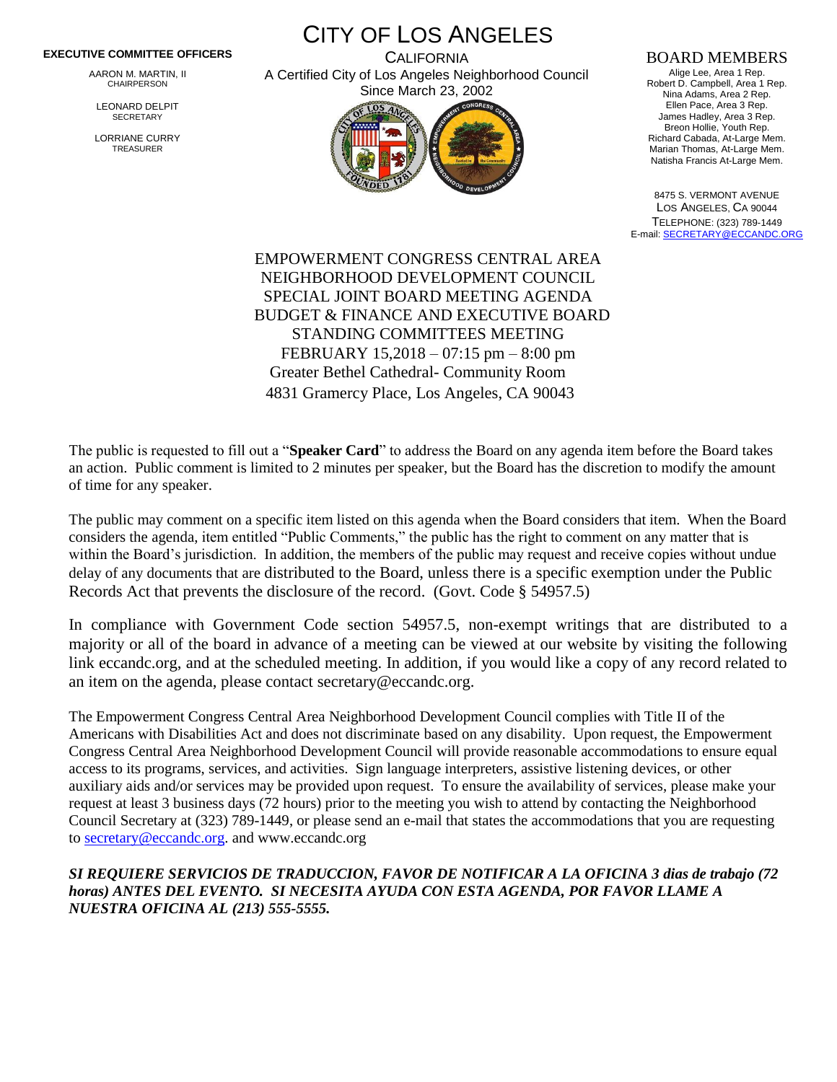## **EXECUTIVE COMMITTEE OFFICERS**

AARON M. MARTIN, II CHAIRPERSON

LEONARD DELPIT **SECRETARY** 

LORRIANE CURRY TREASURER

CITY OF LOS ANGELES **CALIFORNIA** A Certified City of Los Angeles Neighborhood Council



## BOARD MEMBERS

Alige Lee, Area 1 Rep. Robert D. Campbell, Area 1 Rep. Nina Adams, Area 2 Rep. Ellen Pace, Area 3 Rep. James Hadley, Area 3 Rep. Breon Hollie, Youth Rep. Richard Cabada, At-Large Mem. Marian Thomas, At-Large Mem. Natisha Francis At-Large Mem.

8475 S. VERMONT AVENUE LOS ANGELES, CA 90044 TELEPHONE: (323) 789-1449 E-mail[: SECRETARY@ECCANDC.ORG](mailto:SECRETARY@ECCANDC.ORG)

EMPOWERMENT CONGRESS CENTRAL AREA NEIGHBORHOOD DEVELOPMENT COUNCIL SPECIAL JOINT BOARD MEETING AGENDA BUDGET & FINANCE AND EXECUTIVE BOARD STANDING COMMITTEES MEETING FEBRUARY 15,2018 – 07:15 pm – 8:00 pm Greater Bethel Cathedral- Community Room 4831 Gramercy Place, Los Angeles, CA 90043

The public is requested to fill out a "**Speaker Card**" to address the Board on any agenda item before the Board takes an action. Public comment is limited to 2 minutes per speaker, but the Board has the discretion to modify the amount of time for any speaker.

The public may comment on a specific item listed on this agenda when the Board considers that item. When the Board considers the agenda, item entitled "Public Comments," the public has the right to comment on any matter that is within the Board's jurisdiction. In addition, the members of the public may request and receive copies without undue delay of any documents that are distributed to the Board, unless there is a specific exemption under the Public Records Act that prevents the disclosure of the record. (Govt. Code § 54957.5)

In compliance with Government Code section 54957.5, non-exempt writings that are distributed to a majority or all of the board in advance of a meeting can be viewed at our website by visiting the following link eccandc.org, and at the scheduled meeting. In addition, if you would like a copy of any record related to an item on the agenda, please contact secretary@eccandc.org.

The Empowerment Congress Central Area Neighborhood Development Council complies with Title II of the Americans with Disabilities Act and does not discriminate based on any disability. Upon request, the Empowerment Congress Central Area Neighborhood Development Council will provide reasonable accommodations to ensure equal access to its programs, services, and activities. Sign language interpreters, assistive listening devices, or other auxiliary aids and/or services may be provided upon request. To ensure the availability of services, please make your request at least 3 business days (72 hours) prior to the meeting you wish to attend by contacting the Neighborhood Council Secretary at (323) 789-1449, or please send an e-mail that states the accommodations that you are requesting t[o secretary@eccandc.org.](mailto:secretary@eccandc.org) and www.eccandc.org

*SI REQUIERE SERVICIOS DE TRADUCCION, FAVOR DE NOTIFICAR A LA OFICINA 3 dias de trabajo (72 horas) ANTES DEL EVENTO. SI NECESITA AYUDA CON ESTA AGENDA, POR FAVOR LLAME A NUESTRA OFICINA AL (213) 555-5555.*